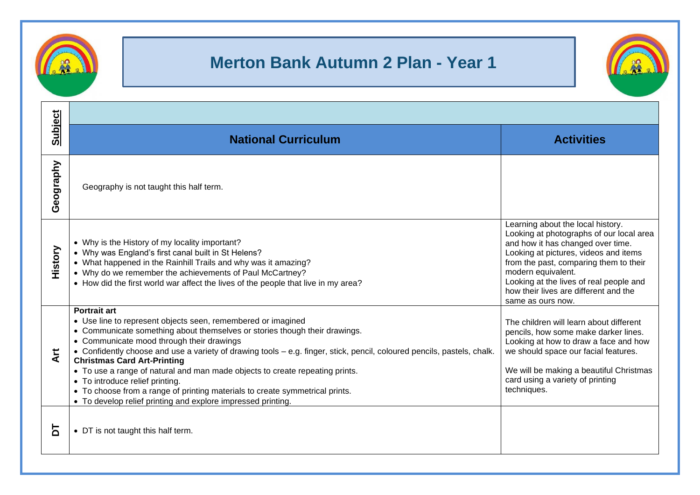

## **Merton Bank Autumn 2 Plan - Year 1**



| <b>Subject</b> | <b>National Curriculum</b>                                                                                                                                                                                                                                                                                                                                                                                                                                                                                                                                                                                                                         | <b>Activities</b>                                                                                                                                                                                                                                                                                                                    |  |
|----------------|----------------------------------------------------------------------------------------------------------------------------------------------------------------------------------------------------------------------------------------------------------------------------------------------------------------------------------------------------------------------------------------------------------------------------------------------------------------------------------------------------------------------------------------------------------------------------------------------------------------------------------------------------|--------------------------------------------------------------------------------------------------------------------------------------------------------------------------------------------------------------------------------------------------------------------------------------------------------------------------------------|--|
| Geography      | Geography is not taught this half term.                                                                                                                                                                                                                                                                                                                                                                                                                                                                                                                                                                                                            |                                                                                                                                                                                                                                                                                                                                      |  |
| History        | • Why is the History of my locality important?<br>• Why was England's first canal built in St Helens?<br>• What happened in the Rainhill Trails and why was it amazing?<br>• Why do we remember the achievements of Paul McCartney?<br>• How did the first world war affect the lives of the people that live in my area?                                                                                                                                                                                                                                                                                                                          | Learning about the local history.<br>Looking at photographs of our local area<br>and how it has changed over time.<br>Looking at pictures, videos and items<br>from the past, comparing them to their<br>modern equivalent.<br>Looking at the lives of real people and<br>how their lives are different and the<br>same as ours now. |  |
| だ<br>⋖         | <b>Portrait art</b><br>• Use line to represent objects seen, remembered or imagined<br>• Communicate something about themselves or stories though their drawings.<br>• Communicate mood through their drawings<br>• Confidently choose and use a variety of drawing tools – e.g. finger, stick, pencil, coloured pencils, pastels, chalk.<br><b>Christmas Card Art-Printing</b><br>• To use a range of natural and man made objects to create repeating prints.<br>• To introduce relief printing.<br>• To choose from a range of printing materials to create symmetrical prints.<br>• To develop relief printing and explore impressed printing. | The children will learn about different<br>pencils, how some make darker lines.<br>Looking at how to draw a face and how<br>we should space our facial features.<br>We will be making a beautiful Christmas<br>card using a variety of printing<br>techniques.                                                                       |  |
| 둠              | • DT is not taught this half term.                                                                                                                                                                                                                                                                                                                                                                                                                                                                                                                                                                                                                 |                                                                                                                                                                                                                                                                                                                                      |  |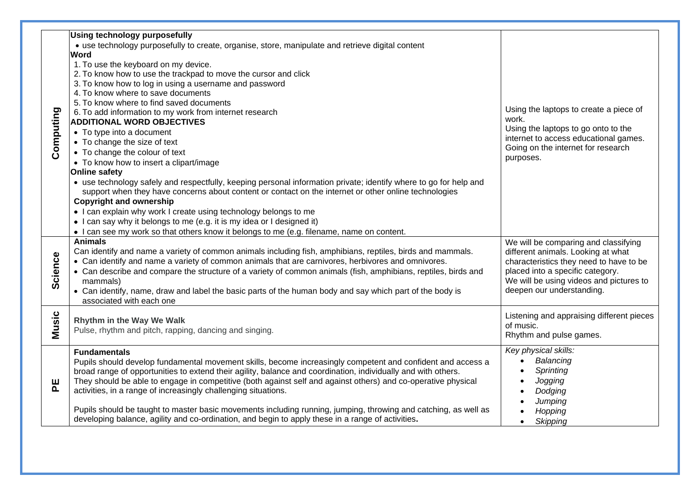| Computing | <b>Using technology purposefully</b><br>• use technology purposefully to create, organise, store, manipulate and retrieve digital content<br>Word<br>1. To use the keyboard on my device.<br>2. To know how to use the trackpad to move the cursor and click<br>3. To know how to log in using a username and password<br>4. To know where to save documents<br>5. To know where to find saved documents<br>6. To add information to my work from internet research<br><b>ADDITIONAL WORD OBJECTIVES</b><br>• To type into a document<br>• To change the size of text<br>• To change the colour of text<br>• To know how to insert a clipart/image<br><b>Online safety</b><br>• use technology safely and respectfully, keeping personal information private; identify where to go for help and<br>support when they have concerns about content or contact on the internet or other online technologies<br><b>Copyright and ownership</b><br>• I can explain why work I create using technology belongs to me<br>• I can say why it belongs to me (e.g. it is my idea or I designed it)<br>• I can see my work so that others know it belongs to me (e.g. filename, name on content. | Using the laptops to create a piece of<br>work.<br>Using the laptops to go onto to the<br>internet to access educational games.<br>Going on the internet for research<br>purposes.                                                |
|-----------|---------------------------------------------------------------------------------------------------------------------------------------------------------------------------------------------------------------------------------------------------------------------------------------------------------------------------------------------------------------------------------------------------------------------------------------------------------------------------------------------------------------------------------------------------------------------------------------------------------------------------------------------------------------------------------------------------------------------------------------------------------------------------------------------------------------------------------------------------------------------------------------------------------------------------------------------------------------------------------------------------------------------------------------------------------------------------------------------------------------------------------------------------------------------------------------|-----------------------------------------------------------------------------------------------------------------------------------------------------------------------------------------------------------------------------------|
| Science   | <b>Animals</b><br>Can identify and name a variety of common animals including fish, amphibians, reptiles, birds and mammals.<br>• Can identify and name a variety of common animals that are carnivores, herbivores and omnivores.<br>• Can describe and compare the structure of a variety of common animals (fish, amphibians, reptiles, birds and<br>mammals)<br>• Can identify, name, draw and label the basic parts of the human body and say which part of the body is<br>associated with each one                                                                                                                                                                                                                                                                                                                                                                                                                                                                                                                                                                                                                                                                              | We will be comparing and classifying<br>different animals. Looking at what<br>characteristics they need to have to be<br>placed into a specific category.<br>We will be using videos and pictures to<br>deepen our understanding. |
| Music     | Rhythm in the Way We Walk<br>Pulse, rhythm and pitch, rapping, dancing and singing.                                                                                                                                                                                                                                                                                                                                                                                                                                                                                                                                                                                                                                                                                                                                                                                                                                                                                                                                                                                                                                                                                                   | Listening and appraising different pieces<br>of music.<br>Rhythm and pulse games.                                                                                                                                                 |
| 뿐         | <b>Fundamentals</b><br>Pupils should develop fundamental movement skills, become increasingly competent and confident and access a<br>broad range of opportunities to extend their agility, balance and coordination, individually and with others.<br>They should be able to engage in competitive (both against self and against others) and co-operative physical<br>activities, in a range of increasingly challenging situations.<br>Pupils should be taught to master basic movements including running, jumping, throwing and catching, as well as<br>developing balance, agility and co-ordination, and begin to apply these in a range of activities.                                                                                                                                                                                                                                                                                                                                                                                                                                                                                                                        | Key physical skills:<br>Balancing<br>$\bullet$<br>Sprinting<br>$\bullet$<br>Jogging<br>Dodging<br>Jumping<br>Hopping<br>Skipping<br>$\bullet$                                                                                     |